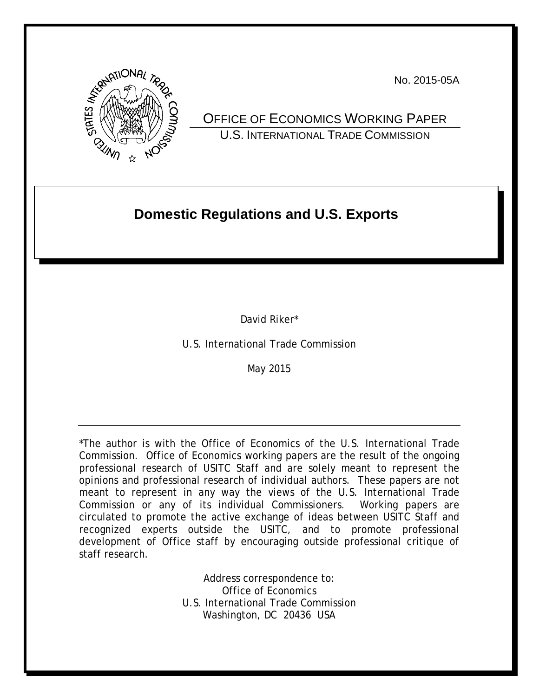

No. 2015-05A

OFFICE OF ECONOMICS WORKING PAPER U.S. INTERNATIONAL TRADE COMMISSION

# **Domestic Regulations and U.S. Exports**

David Riker\*

U.S. International Trade Commission

May 2015

\*The author is with the Office of Economics of the U.S. International Trade Commission. Office of Economics working papers are the result of the ongoing professional research of USITC Staff and are solely meant to represent the opinions and professional research of individual authors. These papers are not meant to represent in any way the views of the U.S. International Trade Commission or any of its individual Commissioners. Working papers are circulated to promote the active exchange of ideas between USITC Staff and recognized experts outside the USITC, and to promote professional development of Office staff by encouraging outside professional critique of staff research.

> Address correspondence to: Office of Economics U.S. International Trade Commission Washington, DC 20436 USA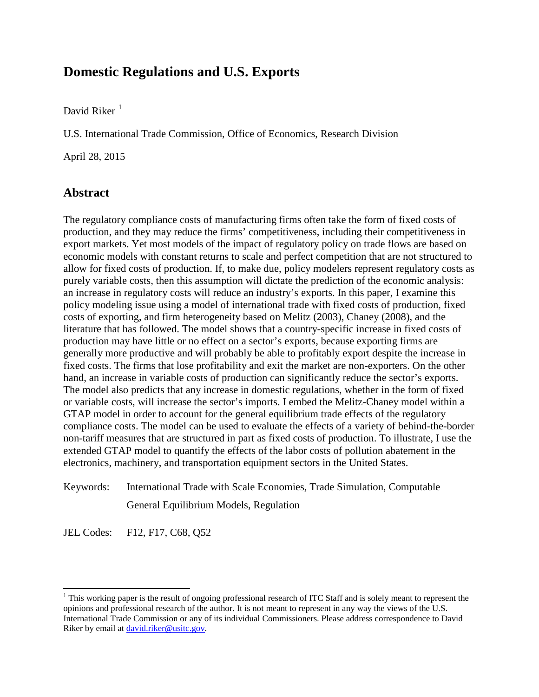### **Domestic Regulations and U.S. Exports**

David Riker $<sup>1</sup>$  $<sup>1</sup>$  $<sup>1</sup>$ </sup>

U.S. International Trade Commission, Office of Economics, Research Division

April 28, 2015

### **Abstract**

The regulatory compliance costs of manufacturing firms often take the form of fixed costs of production, and they may reduce the firms' competitiveness, including their competitiveness in export markets. Yet most models of the impact of regulatory policy on trade flows are based on economic models with constant returns to scale and perfect competition that are not structured to allow for fixed costs of production. If, to make due, policy modelers represent regulatory costs as purely variable costs, then this assumption will dictate the prediction of the economic analysis: an increase in regulatory costs will reduce an industry's exports. In this paper, I examine this policy modeling issue using a model of international trade with fixed costs of production, fixed costs of exporting, and firm heterogeneity based on Melitz (2003), Chaney (2008), and the literature that has followed. The model shows that a country-specific increase in fixed costs of production may have little or no effect on a sector's exports, because exporting firms are generally more productive and will probably be able to profitably export despite the increase in fixed costs. The firms that lose profitability and exit the market are non-exporters. On the other hand, an increase in variable costs of production can significantly reduce the sector's exports. The model also predicts that any increase in domestic regulations, whether in the form of fixed or variable costs, will increase the sector's imports. I embed the Melitz-Chaney model within a GTAP model in order to account for the general equilibrium trade effects of the regulatory compliance costs. The model can be used to evaluate the effects of a variety of behind-the-border non-tariff measures that are structured in part as fixed costs of production. To illustrate, I use the extended GTAP model to quantify the effects of the labor costs of pollution abatement in the electronics, machinery, and transportation equipment sectors in the United States.

Keywords: International Trade with Scale Economies, Trade Simulation, Computable General Equilibrium Models, Regulation

JEL Codes: F12, F17, C68, Q52

 $\overline{a}$ 

<span id="page-1-0"></span><sup>&</sup>lt;sup>1</sup> This working paper is the result of ongoing professional research of ITC Staff and is solely meant to represent the opinions and professional research of the author. It is not meant to represent in any way the views of the U.S. International Trade Commission or any of its individual Commissioners. Please address correspondence to David Riker by email a[t david.riker@usitc.gov.](mailto:david.riker@usitc.gov)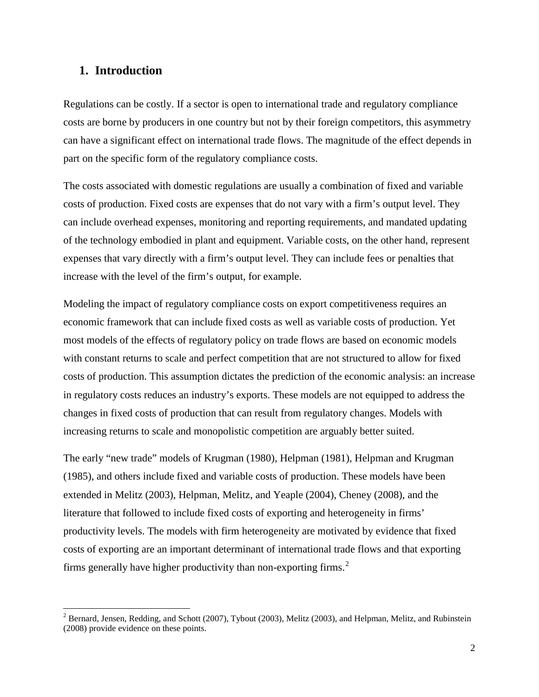#### **1. Introduction**

l

Regulations can be costly. If a sector is open to international trade and regulatory compliance costs are borne by producers in one country but not by their foreign competitors, this asymmetry can have a significant effect on international trade flows. The magnitude of the effect depends in part on the specific form of the regulatory compliance costs.

The costs associated with domestic regulations are usually a combination of fixed and variable costs of production. Fixed costs are expenses that do not vary with a firm's output level. They can include overhead expenses, monitoring and reporting requirements, and mandated updating of the technology embodied in plant and equipment. Variable costs, on the other hand, represent expenses that vary directly with a firm's output level. They can include fees or penalties that increase with the level of the firm's output, for example.

Modeling the impact of regulatory compliance costs on export competitiveness requires an economic framework that can include fixed costs as well as variable costs of production. Yet most models of the effects of regulatory policy on trade flows are based on economic models with constant returns to scale and perfect competition that are not structured to allow for fixed costs of production. This assumption dictates the prediction of the economic analysis: an increase in regulatory costs reduces an industry's exports. These models are not equipped to address the changes in fixed costs of production that can result from regulatory changes. Models with increasing returns to scale and monopolistic competition are arguably better suited.

The early "new trade" models of Krugman (1980), Helpman (1981), Helpman and Krugman (1985), and others include fixed and variable costs of production. These models have been extended in Melitz (2003), Helpman, Melitz, and Yeaple (2004), Cheney (2008), and the literature that followed to include fixed costs of exporting and heterogeneity in firms' productivity levels. The models with firm heterogeneity are motivated by evidence that fixed costs of exporting are an important determinant of international trade flows and that exporting firms generally have higher productivity than non-exporting firms.<sup>[2](#page-2-0)</sup>

<span id="page-2-0"></span> $^2$  Bernard, Jensen, Redding, and Schott (2007), Tybout (2003), Melitz (2003), and Helpman, Melitz, and Rubinstein (2008) provide evidence on these points.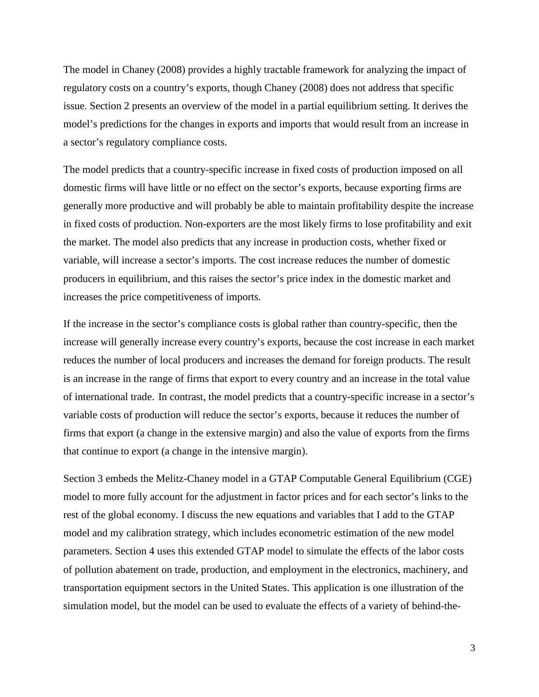The model in Chaney (2008) provides a highly tractable framework for analyzing the impact of regulatory costs on a country's exports, though Chaney (2008) does not address that specific issue. Section 2 presents an overview of the model in a partial equilibrium setting. It derives the model's predictions for the changes in exports and imports that would result from an increase in a sector's regulatory compliance costs.

The model predicts that a country-specific increase in fixed costs of production imposed on all domestic firms will have little or no effect on the sector's exports, because exporting firms are generally more productive and will probably be able to maintain profitability despite the increase in fixed costs of production. Non-exporters are the most likely firms to lose profitability and exit the market. The model also predicts that any increase in production costs, whether fixed or variable, will increase a sector's imports. The cost increase reduces the number of domestic producers in equilibrium, and this raises the sector's price index in the domestic market and increases the price competitiveness of imports.

If the increase in the sector's compliance costs is global rather than country-specific, then the increase will generally increase every country's exports, because the cost increase in each market reduces the number of local producers and increases the demand for foreign products. The result is an increase in the range of firms that export to every country and an increase in the total value of international trade. In contrast, the model predicts that a country-specific increase in a sector's variable costs of production will reduce the sector's exports, because it reduces the number of firms that export (a change in the extensive margin) and also the value of exports from the firms that continue to export (a change in the intensive margin).

Section 3 embeds the Melitz-Chaney model in a GTAP Computable General Equilibrium (CGE) model to more fully account for the adjustment in factor prices and for each sector's links to the rest of the global economy. I discuss the new equations and variables that I add to the GTAP model and my calibration strategy, which includes econometric estimation of the new model parameters. Section 4 uses this extended GTAP model to simulate the effects of the labor costs of pollution abatement on trade, production, and employment in the electronics, machinery, and transportation equipment sectors in the United States. This application is one illustration of the simulation model, but the model can be used to evaluate the effects of a variety of behind-the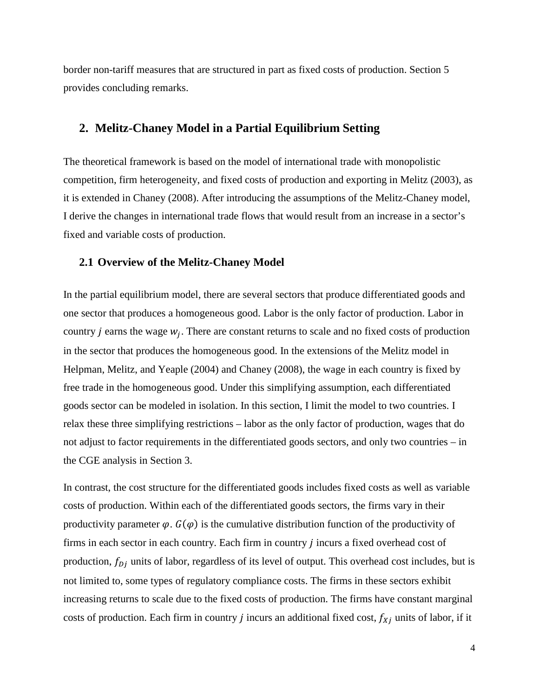border non-tariff measures that are structured in part as fixed costs of production. Section 5 provides concluding remarks.

#### **2. Melitz-Chaney Model in a Partial Equilibrium Setting**

The theoretical framework is based on the model of international trade with monopolistic competition, firm heterogeneity, and fixed costs of production and exporting in Melitz (2003), as it is extended in Chaney (2008). After introducing the assumptions of the Melitz-Chaney model, I derive the changes in international trade flows that would result from an increase in a sector's fixed and variable costs of production.

#### **2.1 Overview of the Melitz-Chaney Model**

In the partial equilibrium model, there are several sectors that produce differentiated goods and one sector that produces a homogeneous good. Labor is the only factor of production. Labor in country *j* earns the wage  $w_i$ . There are constant returns to scale and no fixed costs of production in the sector that produces the homogeneous good. In the extensions of the Melitz model in Helpman, Melitz, and Yeaple (2004) and Chaney (2008), the wage in each country is fixed by free trade in the homogeneous good. Under this simplifying assumption, each differentiated goods sector can be modeled in isolation. In this section, I limit the model to two countries. I relax these three simplifying restrictions – labor as the only factor of production, wages that do not adjust to factor requirements in the differentiated goods sectors, and only two countries – in the CGE analysis in Section 3.

In contrast, the cost structure for the differentiated goods includes fixed costs as well as variable costs of production. Within each of the differentiated goods sectors, the firms vary in their productivity parameter  $\varphi$ .  $G(\varphi)$  is the cumulative distribution function of the productivity of firms in each sector in each country. Each firm in country  $j$  incurs a fixed overhead cost of production,  $f_{D_i}$  units of labor, regardless of its level of output. This overhead cost includes, but is not limited to, some types of regulatory compliance costs. The firms in these sectors exhibit increasing returns to scale due to the fixed costs of production. The firms have constant marginal costs of production. Each firm in country  $j$  incurs an additional fixed cost,  $f_{Xj}$  units of labor, if it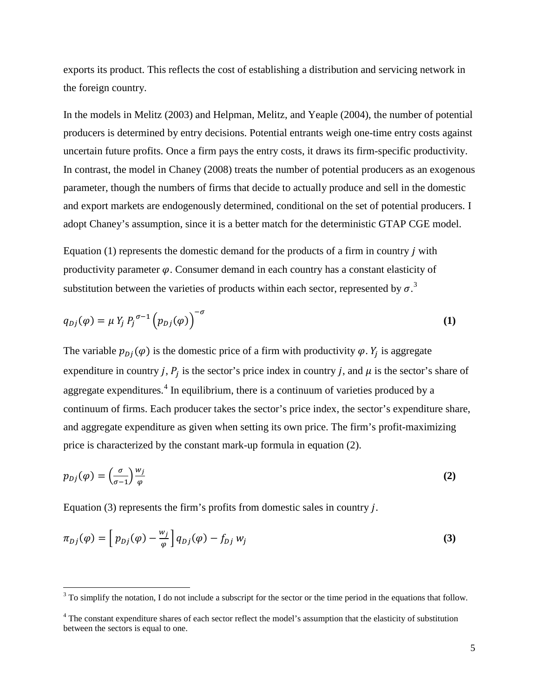exports its product. This reflects the cost of establishing a distribution and servicing network in the foreign country.

In the models in Melitz (2003) and Helpman, Melitz, and Yeaple (2004), the number of potential producers is determined by entry decisions. Potential entrants weigh one-time entry costs against uncertain future profits. Once a firm pays the entry costs, it draws its firm-specific productivity. In contrast, the model in Chaney (2008) treats the number of potential producers as an exogenous parameter, though the numbers of firms that decide to actually produce and sell in the domestic and export markets are endogenously determined, conditional on the set of potential producers. I adopt Chaney's assumption, since it is a better match for the deterministic GTAP CGE model.

Equation  $(1)$  represents the domestic demand for the products of a firm in country *j* with productivity parameter  $\varphi$ . Consumer demand in each country has a constant elasticity of substitution between the varieties of products within each sector, represented by  $\sigma$ .<sup>[3](#page-5-0)</sup>

$$
q_{Dj}(\varphi) = \mu Y_j P_j^{\sigma-1} (p_{Dj}(\varphi))^{-\sigma}
$$
 (1)

The variable  $p_{Di}(\varphi)$  is the domestic price of a firm with productivity  $\varphi$ .  $Y_i$  is aggregate expenditure in country j,  $P_j$  is the sector's price index in country j, and  $\mu$  is the sector's share of aggregate expenditures.<sup>[4](#page-5-1)</sup> In equilibrium, there is a continuum of varieties produced by a continuum of firms. Each producer takes the sector's price index, the sector's expenditure share, and aggregate expenditure as given when setting its own price. The firm's profit-maximizing price is characterized by the constant mark-up formula in equation (2).

$$
p_{Dj}(\varphi) = \left(\frac{\sigma}{\sigma - 1}\right) \frac{w_j}{\varphi} \tag{2}
$$

Equation (3) represents the firm's profits from domestic sales in country  $j$ .

 $\overline{a}$ 

$$
\pi_{Dj}(\varphi) = \left[ p_{Dj}(\varphi) - \frac{w_j}{\varphi} \right] q_{Dj}(\varphi) - f_{Dj} w_j \tag{3}
$$

<span id="page-5-0"></span> $3$  To simplify the notation, I do not include a subscript for the sector or the time period in the equations that follow.

<span id="page-5-1"></span><sup>&</sup>lt;sup>4</sup> The constant expenditure shares of each sector reflect the model's assumption that the elasticity of substitution between the sectors is equal to one.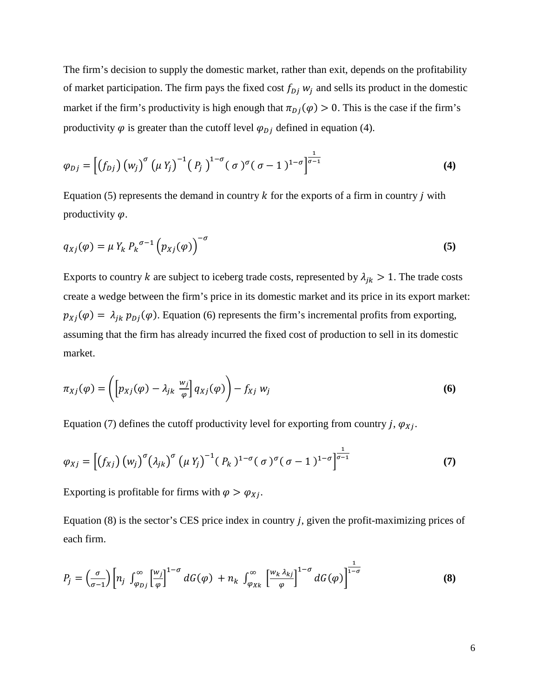The firm's decision to supply the domestic market, rather than exit, depends on the profitability of market participation. The firm pays the fixed cost  $f_{D}$  w<sub>i</sub> and sells its product in the domestic market if the firm's productivity is high enough that  $\pi_{D_i}(\varphi) > 0$ . This is the case if the firm's productivity  $\varphi$  is greater than the cutoff level  $\varphi_{D_i}$  defined in equation (4).

$$
\varphi_{Dj} = \left[ \left( f_{Dj} \right) \left( w_j \right)^{\sigma} \left( \mu Y_j \right)^{-1} \left( P_j \right)^{1-\sigma} \left( \sigma \right)^{\sigma} \left( \sigma - 1 \right)^{1-\sigma} \right]^{\frac{1}{\sigma - 1}} \tag{4}
$$

Equation (5) represents the demand in country  $k$  for the exports of a firm in country  $j$  with productivity  $\varphi$ .

$$
q_{Xj}(\varphi) = \mu Y_k P_k^{\sigma-1} (p_{Xj}(\varphi))^{-\sigma}
$$
 (5)

Exports to country k are subject to iceberg trade costs, represented by  $\lambda_{jk} > 1$ . The trade costs create a wedge between the firm's price in its domestic market and its price in its export market:  $p_{Xj}(\varphi) = \lambda_{jk} p_{Dj}(\varphi)$ . Equation (6) represents the firm's incremental profits from exporting, assuming that the firm has already incurred the fixed cost of production to sell in its domestic market.

$$
\pi_{Xj}(\varphi) = \left( \left[ p_{Xj}(\varphi) - \lambda_{jk} \frac{w_j}{\varphi} \right] q_{Xj}(\varphi) \right) - f_{Xj} w_j \tag{6}
$$

Equation (7) defines the cutoff productivity level for exporting from country j,  $\varphi_{Xi}$ .

$$
\varphi_{Xj} = \left[ \left( f_{Xj} \right) \left( w_j \right)^{\sigma} \left( \lambda_{jk} \right)^{\sigma} \left( \mu Y_j \right)^{-1} \left( P_k \right)^{1-\sigma} \left( \sigma \right)^{\sigma} \left( \sigma - 1 \right)^{1-\sigma} \right]^{\frac{1}{\sigma - 1}} \tag{7}
$$

Exporting is profitable for firms with  $\varphi > \varphi_{X_i}$ .

Equation  $(8)$  is the sector's CES price index in country *j*, given the profit-maximizing prices of each firm.

$$
P_j = \left(\frac{\sigma}{\sigma - 1}\right) \left[ n_j \int_{\varphi_{Dj}}^{\infty} \left[ \frac{w_j}{\varphi} \right]^{1-\sigma} dG(\varphi) + n_k \int_{\varphi_{Xk}}^{\infty} \left[ \frac{w_k \lambda_{kj}}{\varphi} \right]^{1-\sigma} dG(\varphi) \right]^{\frac{1}{1-\sigma}}
$$
(8)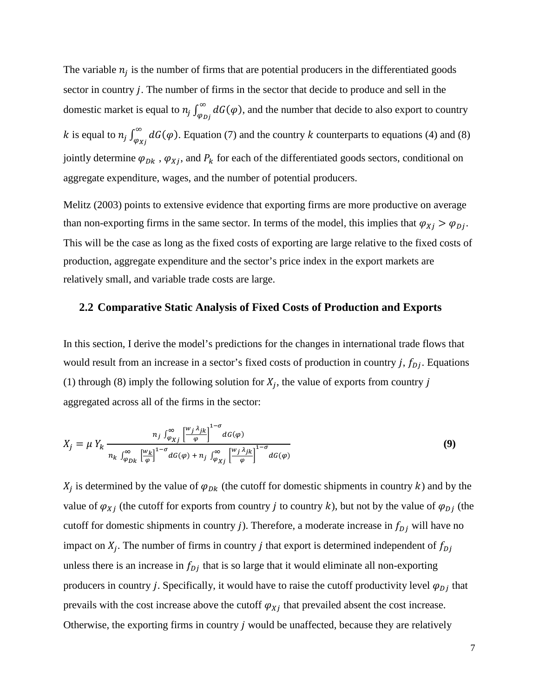The variable  $n_i$  is the number of firms that are potential producers in the differentiated goods sector in country  $j$ . The number of firms in the sector that decide to produce and sell in the domestic market is equal to  $n_j \int_{\varphi_{Dj}}^{\infty} dG(\varphi)$ , and the number that decide to also export to country k is equal to  $n_j \int_{\varphi_{Xj}}^{\infty} dG(\varphi)$ . Equation (7) and the country k counterparts to equations (4) and (8) jointly determine  $\varphi_{Dk}$ ,  $\varphi_{Xj}$ , and  $P_k$  for each of the differentiated goods sectors, conditional on aggregate expenditure, wages, and the number of potential producers.

Melitz (2003) points to extensive evidence that exporting firms are more productive on average than non-exporting firms in the same sector. In terms of the model, this implies that  $\varphi_{Xj} > \varphi_{Dj}$ . This will be the case as long as the fixed costs of exporting are large relative to the fixed costs of production, aggregate expenditure and the sector's price index in the export markets are relatively small, and variable trade costs are large.

#### **2.2 Comparative Static Analysis of Fixed Costs of Production and Exports**

In this section, I derive the model's predictions for the changes in international trade flows that would result from an increase in a sector's fixed costs of production in country j,  $f_{Di}$ . Equations (1) through (8) imply the following solution for  $X_i$ , the value of exports from country j aggregated across all of the firms in the sector:

$$
X_j = \mu Y_k \frac{n_j \int_{\varphi_{Xj}}^{\infty} \left[\frac{w_j \lambda_{jk}}{\varphi}\right]^{1-\sigma} dG(\varphi)}{n_k \int_{\varphi_{Dk}}^{\infty} \left[\frac{w_k}{\varphi}\right]^{1-\sigma} dG(\varphi) + n_j \int_{\varphi_{Xj}}^{\infty} \left[\frac{w_j \lambda_{jk}}{\varphi}\right]^{1-\sigma} dG(\varphi)}
$$
(9)

 $X_i$  is determined by the value of  $\varphi_{Dk}$  (the cutoff for domestic shipments in country k) and by the value of  $\varphi_{Xj}$  (the cutoff for exports from country *j* to country *k*), but not by the value of  $\varphi_{Dj}$  (the cutoff for domestic shipments in country j). Therefore, a moderate increase in  $f_{Dj}$  will have no impact on  $X_i$ . The number of firms in country *j* that export is determined independent of  $f_{D_i}$ unless there is an increase in  $f_{D}$  that is so large that it would eliminate all non-exporting producers in country *j*. Specifically, it would have to raise the cutoff productivity level  $\varphi_{Di}$  that prevails with the cost increase above the cutoff  $\varphi_{X_i}$  that prevailed absent the cost increase. Otherwise, the exporting firms in country  $j$  would be unaffected, because they are relatively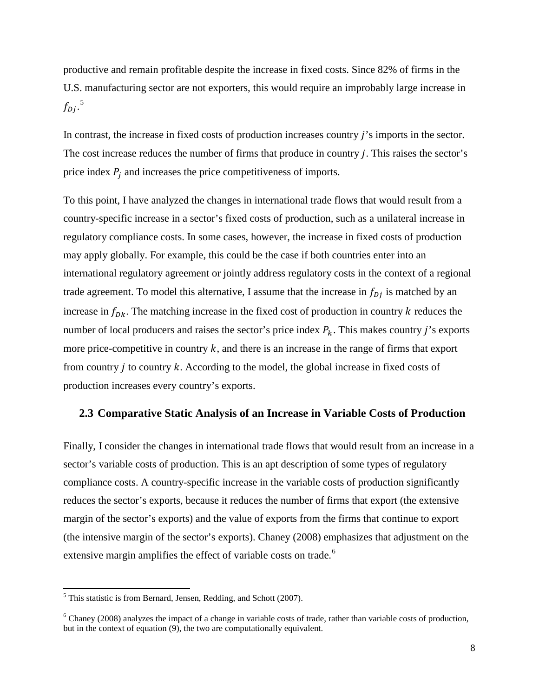productive and remain profitable despite the increase in fixed costs. Since 82% of firms in the U.S. manufacturing sector are not exporters, this would require an improbably large increase in  $f_{Dj}.^5$  $f_{Dj}.^5$ 

In contrast, the increase in fixed costs of production increases country *i*'s imports in the sector. The cost increase reduces the number of firms that produce in country  $j$ . This raises the sector's price index  $P_i$  and increases the price competitiveness of imports.

To this point, I have analyzed the changes in international trade flows that would result from a country-specific increase in a sector's fixed costs of production, such as a unilateral increase in regulatory compliance costs. In some cases, however, the increase in fixed costs of production may apply globally. For example, this could be the case if both countries enter into an international regulatory agreement or jointly address regulatory costs in the context of a regional trade agreement. To model this alternative, I assume that the increase in  $f_{D}$  is matched by an increase in  $f_{Dk}$ . The matching increase in the fixed cost of production in country k reduces the number of local producers and raises the sector's price index  $P_k$ . This makes country j's exports more price-competitive in country  $k$ , and there is an increase in the range of firms that export from country  $j$  to country  $k$ . According to the model, the global increase in fixed costs of production increases every country's exports.

#### **2.3 Comparative Static Analysis of an Increase in Variable Costs of Production**

Finally, I consider the changes in international trade flows that would result from an increase in a sector's variable costs of production. This is an apt description of some types of regulatory compliance costs. A country-specific increase in the variable costs of production significantly reduces the sector's exports, because it reduces the number of firms that export (the extensive margin of the sector's exports) and the value of exports from the firms that continue to export (the intensive margin of the sector's exports). Chaney (2008) emphasizes that adjustment on the extensive margin amplifies the effect of variable costs on trade.<sup>[6](#page-8-1)</sup>

 $\overline{a}$ 

<span id="page-8-0"></span> $<sup>5</sup>$  This statistic is from Bernard, Jensen, Redding, and Schott (2007).</sup>

<span id="page-8-1"></span> $6$  Chaney (2008) analyzes the impact of a change in variable costs of trade, rather than variable costs of production, but in the context of equation (9), the two are computationally equivalent.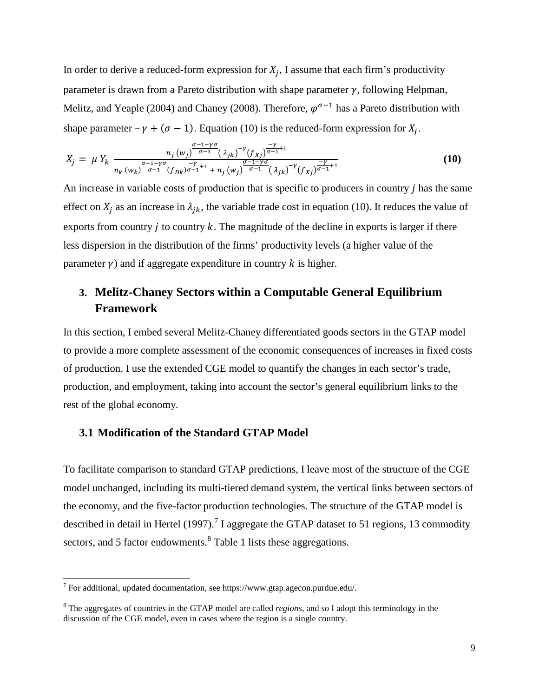In order to derive a reduced-form expression for  $X_i$ , I assume that each firm's productivity parameter is drawn from a Pareto distribution with shape parameter  $\gamma$ , following Helpman, Melitz, and Yeaple (2004) and Chaney (2008). Therefore,  $\varphi^{\sigma-1}$  has a Pareto distribution with shape parameter –  $\gamma + (\sigma - 1)$ . Equation (10) is the reduced-form expression for  $X_i$ .

$$
X_j = \mu Y_k \frac{n_j (w_j)^{\frac{\sigma - 1 - \gamma \sigma}{\sigma - 1}} (\lambda_{jk})^{-\gamma} (f_{Xj})^{\frac{-\gamma}{\sigma - 1} + 1}}{n_k (w_k)^{\frac{\sigma - 1 - \gamma \sigma}{\sigma - 1}} (f_{Dk})^{\frac{-\gamma}{\sigma - 1} + 1} + n_j (w_j)^{\frac{\sigma - 1 - \gamma \sigma}{\sigma - 1}} (\lambda_{jk})^{-\gamma} (f_{Xj})^{\frac{-\gamma}{\sigma - 1} + 1}}
$$
(10)

An increase in variable costs of production that is specific to producers in country  *has the same* effect on  $X_i$  as an increase in  $\lambda_{ik}$ , the variable trade cost in equation (10). It reduces the value of exports from country  $j$  to country  $k$ . The magnitude of the decline in exports is larger if there less dispersion in the distribution of the firms' productivity levels (a higher value of the parameter  $\gamma$ ) and if aggregate expenditure in country k is higher.

### **3. Melitz-Chaney Sectors within a Computable General Equilibrium Framework**

In this section, I embed several Melitz-Chaney differentiated goods sectors in the GTAP model to provide a more complete assessment of the economic consequences of increases in fixed costs of production. I use the extended CGE model to quantify the changes in each sector's trade, production, and employment, taking into account the sector's general equilibrium links to the rest of the global economy.

#### **3.1 Modification of the Standard GTAP Model**

To facilitate comparison to standard GTAP predictions, I leave most of the structure of the CGE model unchanged, including its multi-tiered demand system, the vertical links between sectors of the economy, and the five-factor production technologies. The structure of the GTAP model is described in detail in Hertel (199[7](#page-9-0)).<sup>7</sup> I aggregate the GTAP dataset to 51 regions, 13 commodity sectors, and 5 factor endowments. <sup>[8](#page-9-1)</sup> Table 1 lists these aggregations.

l

<span id="page-9-0"></span><sup>&</sup>lt;sup>7</sup> For additional, updated documentation, see https://www.gtap.agecon.purdue.edu/.

<span id="page-9-1"></span><sup>8</sup> The aggregates of countries in the GTAP model are called *regions*, and so I adopt this terminology in the discussion of the CGE model, even in cases where the region is a single country.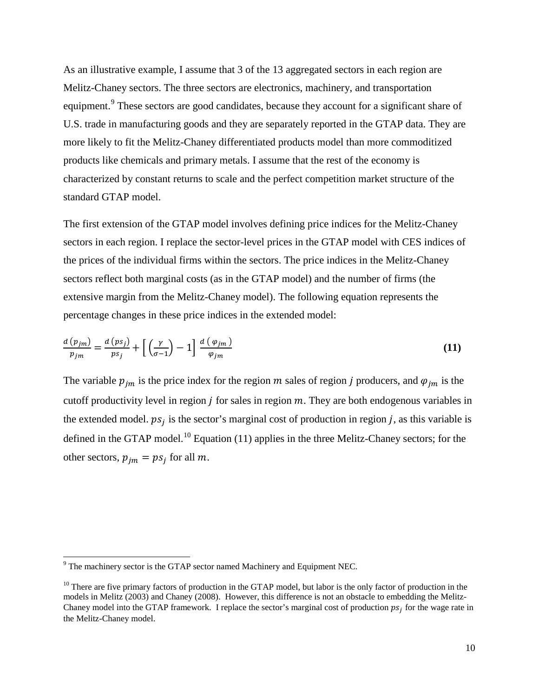As an illustrative example, I assume that 3 of the 13 aggregated sectors in each region are Melitz-Chaney sectors. The three sectors are electronics, machinery, and transportation equipment.<sup>[9](#page-10-0)</sup> These sectors are good candidates, because they account for a significant share of U.S. trade in manufacturing goods and they are separately reported in the GTAP data. They are more likely to fit the Melitz-Chaney differentiated products model than more commoditized products like chemicals and primary metals. I assume that the rest of the economy is characterized by constant returns to scale and the perfect competition market structure of the standard GTAP model.

The first extension of the GTAP model involves defining price indices for the Melitz-Chaney sectors in each region. I replace the sector-level prices in the GTAP model with CES indices of the prices of the individual firms within the sectors. The price indices in the Melitz-Chaney sectors reflect both marginal costs (as in the GTAP model) and the number of firms (the extensive margin from the Melitz-Chaney model). The following equation represents the percentage changes in these price indices in the extended model:

$$
\frac{d\left(p_{jm}\right)}{p_{jm}} = \frac{d\left(p_{j}\right)}{p_{j}} + \left[\left(\frac{\gamma}{\sigma - 1}\right) - 1\right] \frac{d\left(\varphi_{jm}\right)}{\varphi_{jm}} \tag{11}
$$

The variable  $p_{im}$  is the price index for the region  $m$  sales of region  $j$  producers, and  $\varphi_{im}$  is the cutoff productivity level in region  $j$  for sales in region  $m$ . They are both endogenous variables in the extended model.  $ps_i$  is the sector's marginal cost of production in region *j*, as this variable is defined in the GTAP model.<sup>[10](#page-10-1)</sup> Equation (11) applies in the three Melitz-Chaney sectors; for the other sectors,  $p_{im} = ps_i$  for all m.

l

<span id="page-10-0"></span><sup>&</sup>lt;sup>9</sup> The machinery sector is the GTAP sector named Machinery and Equipment NEC.

<span id="page-10-1"></span> $10$  There are five primary factors of production in the GTAP model, but labor is the only factor of production in the models in Melitz (2003) and Chaney (2008). However, this difference is not an obstacle to embedding the Melitz-Chaney model into the GTAP framework. I replace the sector's marginal cost of production  $ps_i$  for the wage rate in the Melitz-Chaney model.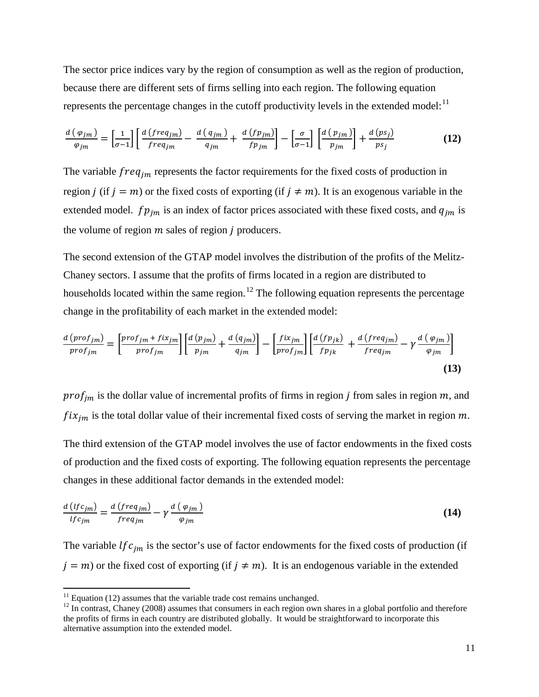The sector price indices vary by the region of consumption as well as the region of production, because there are different sets of firms selling into each region. The following equation represents the percentage changes in the cutoff productivity levels in the extended model: $<sup>11</sup>$  $<sup>11</sup>$  $<sup>11</sup>$ </sup>

$$
\frac{d\left(\varphi_{jm}\right)}{\varphi_{jm}} = \left[\frac{1}{\sigma-1}\right] \left[\frac{d\left(\text{freq}_{jm}\right)}{\text{freq}_{jm}} - \frac{d\left(\text{q}_{jm}\right)}{\text{q}_{jm}} + \frac{d\left(\text{fp}_{jm}\right)}{\text{fp}_{jm}}\right] - \left[\frac{\sigma}{\sigma-1}\right] \left[\frac{d\left(\text{p}_{jm}\right)}{\text{p}_{jm}}\right] + \frac{d\left(\text{ps}_{j}\right)}{\text{ps}_{j}}\tag{12}
$$

The variable  $freq_{jm}$  represents the factor requirements for the fixed costs of production in region *j* (if  $j = m$ ) or the fixed costs of exporting (if  $j \neq m$ ). It is an exogenous variable in the extended model.  $fp_{im}$  is an index of factor prices associated with these fixed costs, and  $q_{im}$  is the volume of region  *sales of region*  $*j*$  *producers.* 

The second extension of the GTAP model involves the distribution of the profits of the Melitz-Chaney sectors. I assume that the profits of firms located in a region are distributed to households located within the same region.<sup>[12](#page-11-1)</sup> The following equation represents the percentage change in the profitability of each market in the extended model:

$$
\frac{d\left(proj_{jm}\right)}{proj_{jm}} = \left[\frac{proj_{jm} + fix_{jm}}{proj_{jm}}\right] \left[\frac{d\left(p_{jm}\right)}{p_{jm}} + \frac{d\left(q_{jm}\right)}{q_{jm}}\right] - \left[\frac{fix_{jm}}{proj_{jm}}\right] \left[\frac{d\left(fp_{jk}\right)}{fp_{jk}} + \frac{d\left(freq_{jm}\right)}{freq_{jm}} - \gamma \frac{d\left(\varphi_{jm}\right)}{\varphi_{jm}}\right]
$$
\n(13)

 $prof_{im}$  is the dollar value of incremental profits of firms in region *j* from sales in region  $m$ , and  $fix_{jm}$  is the total dollar value of their incremental fixed costs of serving the market in region  $m$ .

The third extension of the GTAP model involves the use of factor endowments in the fixed costs of production and the fixed costs of exporting. The following equation represents the percentage changes in these additional factor demands in the extended model:

$$
\frac{d\left(lfc_{jm}\right)}{lfc_{jm}} = \frac{d\left(freq_{jm}\right)}{freq_{jm}} - \gamma \frac{d\left(\varphi_{jm}\right)}{\varphi_{jm}}
$$
\n(14)

The variable  $lfc_{jm}$  is the sector's use of factor endowments for the fixed costs of production (if  $j = m$ ) or the fixed cost of exporting (if  $j \neq m$ ). It is an endogenous variable in the extended

<span id="page-11-0"></span> $11$  Equation (12) assumes that the variable trade cost remains unchanged.

<span id="page-11-1"></span> $12$  In contrast, Chaney (2008) assumes that consumers in each region own shares in a global portfolio and therefore the profits of firms in each country are distributed globally. It would be straightforward to incorporate this alternative assumption into the extended model.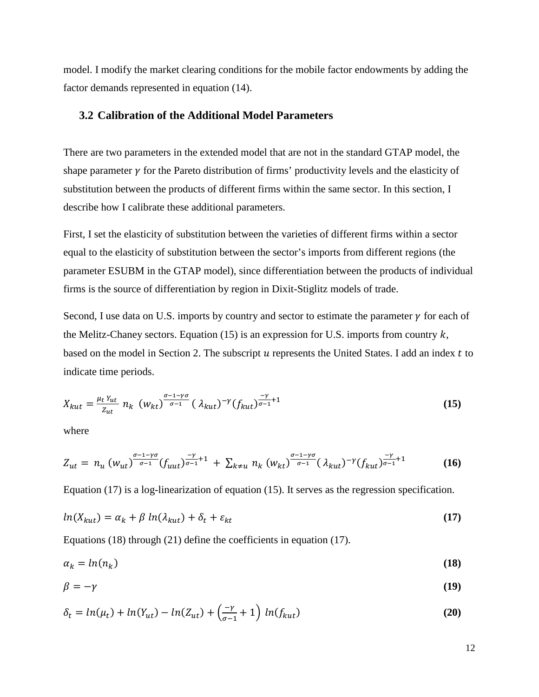model. I modify the market clearing conditions for the mobile factor endowments by adding the factor demands represented in equation (14).

#### **3.2 Calibration of the Additional Model Parameters**

There are two parameters in the extended model that are not in the standard GTAP model, the shape parameter  $\gamma$  for the Pareto distribution of firms' productivity levels and the elasticity of substitution between the products of different firms within the same sector. In this section, I describe how I calibrate these additional parameters.

First, I set the elasticity of substitution between the varieties of different firms within a sector equal to the elasticity of substitution between the sector's imports from different regions (the parameter ESUBM in the GTAP model), since differentiation between the products of individual firms is the source of differentiation by region in Dixit-Stiglitz models of trade.

Second, I use data on U.S. imports by country and sector to estimate the parameter  $\gamma$  for each of the Melitz-Chaney sectors. Equation (15) is an expression for U.S. imports from country  $k$ , based on the model in Section 2. The subscript  $u$  represents the United States. I add an index  $t$  to indicate time periods.

$$
X_{kut} = \frac{\mu_t Y_{ut}}{Z_{ut}} n_k \ (W_{kt})^{\frac{\sigma - 1 - \gamma \sigma}{\sigma - 1}} (\lambda_{kut})^{-\gamma} (f_{kut})^{\frac{-\gamma}{\sigma - 1} + 1}
$$
 (15)

where

$$
Z_{ut} = n_u \left( w_{ut} \right)^{\frac{\sigma - 1 - \gamma \sigma}{\sigma - 1}} (f_{uut})^{\frac{-\gamma}{\sigma - 1} + 1} + \sum_{k \neq u} n_k \left( w_{kt} \right)^{\frac{\sigma - 1 - \gamma \sigma}{\sigma - 1}} (\lambda_{kut})^{-\gamma} (f_{kut})^{\frac{-\gamma}{\sigma - 1} + 1} \tag{16}
$$

Equation (17) is a log-linearization of equation (15). It serves as the regression specification.

$$
ln(X_{kut}) = \alpha_k + \beta ln(\lambda_{kut}) + \delta_t + \varepsilon_{kt}
$$
\n(17)

Equations (18) through (21) define the coefficients in equation (17).

$$
\alpha_k = \ln(n_k) \tag{18}
$$

$$
\beta = -\gamma \tag{19}
$$

$$
\delta_t = \ln(\mu_t) + \ln(Y_{ut}) - \ln(Z_{ut}) + \left(\frac{-\nu}{\sigma - 1} + 1\right) \ln(f_{kut})
$$
\n(20)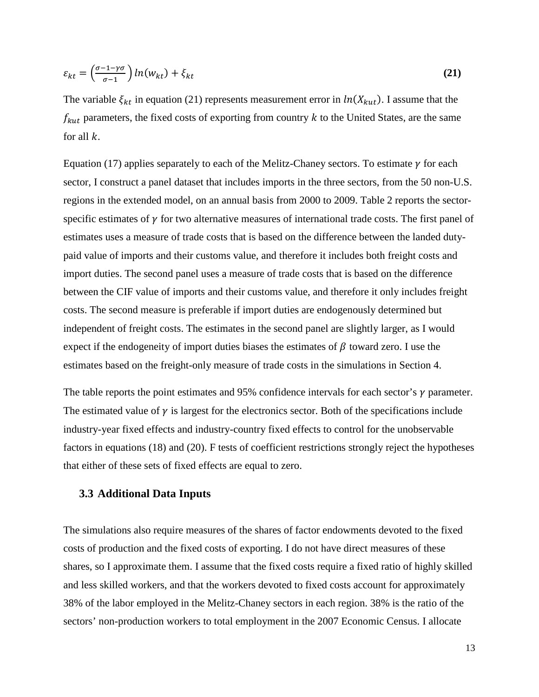$$
\varepsilon_{kt} = \left(\frac{\sigma - 1 - \gamma \sigma}{\sigma - 1}\right) \ln(w_{kt}) + \xi_{kt} \tag{21}
$$

The variable  $\xi_{kt}$  in equation (21) represents measurement error in  $ln(X_{kut})$ . I assume that the  $f_{kut}$  parameters, the fixed costs of exporting from country  $k$  to the United States, are the same for all  $k$ .

Equation (17) applies separately to each of the Melitz-Chaney sectors. To estimate  $\gamma$  for each sector, I construct a panel dataset that includes imports in the three sectors, from the 50 non-U.S. regions in the extended model, on an annual basis from 2000 to 2009. Table 2 reports the sectorspecific estimates of  $\gamma$  for two alternative measures of international trade costs. The first panel of estimates uses a measure of trade costs that is based on the difference between the landed dutypaid value of imports and their customs value, and therefore it includes both freight costs and import duties. The second panel uses a measure of trade costs that is based on the difference between the CIF value of imports and their customs value, and therefore it only includes freight costs. The second measure is preferable if import duties are endogenously determined but independent of freight costs. The estimates in the second panel are slightly larger, as I would expect if the endogeneity of import duties biases the estimates of  $\beta$  toward zero. I use the estimates based on the freight-only measure of trade costs in the simulations in Section 4.

The table reports the point estimates and 95% confidence intervals for each sector's  $\gamma$  parameter. The estimated value of  $\gamma$  is largest for the electronics sector. Both of the specifications include industry-year fixed effects and industry-country fixed effects to control for the unobservable factors in equations (18) and (20). F tests of coefficient restrictions strongly reject the hypotheses that either of these sets of fixed effects are equal to zero.

#### **3.3 Additional Data Inputs**

The simulations also require measures of the shares of factor endowments devoted to the fixed costs of production and the fixed costs of exporting. I do not have direct measures of these shares, so I approximate them. I assume that the fixed costs require a fixed ratio of highly skilled and less skilled workers, and that the workers devoted to fixed costs account for approximately 38% of the labor employed in the Melitz-Chaney sectors in each region. 38% is the ratio of the sectors' non-production workers to total employment in the 2007 Economic Census. I allocate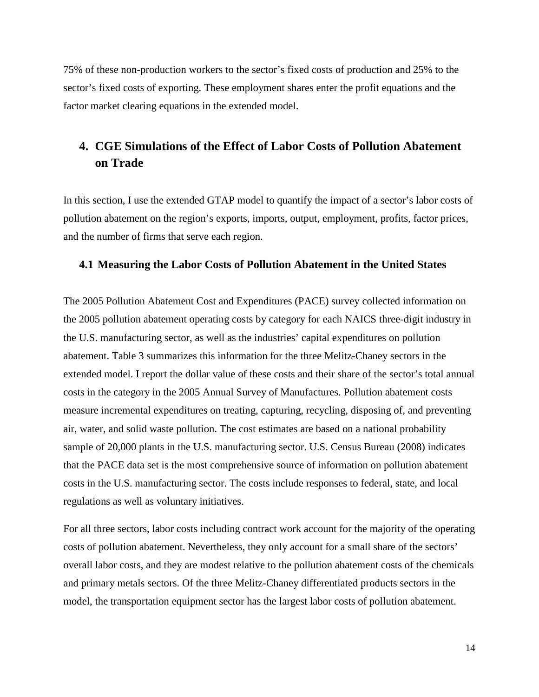75% of these non-production workers to the sector's fixed costs of production and 25% to the sector's fixed costs of exporting. These employment shares enter the profit equations and the factor market clearing equations in the extended model.

### **4. CGE Simulations of the Effect of Labor Costs of Pollution Abatement on Trade**

In this section, I use the extended GTAP model to quantify the impact of a sector's labor costs of pollution abatement on the region's exports, imports, output, employment, profits, factor prices, and the number of firms that serve each region.

#### **4.1 Measuring the Labor Costs of Pollution Abatement in the United States**

The 2005 Pollution Abatement Cost and Expenditures (PACE) survey collected information on the 2005 pollution abatement operating costs by category for each NAICS three-digit industry in the U.S. manufacturing sector, as well as the industries' capital expenditures on pollution abatement. Table 3 summarizes this information for the three Melitz-Chaney sectors in the extended model. I report the dollar value of these costs and their share of the sector's total annual costs in the category in the 2005 Annual Survey of Manufactures. Pollution abatement costs measure incremental expenditures on treating, capturing, recycling, disposing of, and preventing air, water, and solid waste pollution. The cost estimates are based on a national probability sample of 20,000 plants in the U.S. manufacturing sector. U.S. Census Bureau (2008) indicates that the PACE data set is the most comprehensive source of information on pollution abatement costs in the U.S. manufacturing sector. The costs include responses to federal, state, and local regulations as well as voluntary initiatives.

For all three sectors, labor costs including contract work account for the majority of the operating costs of pollution abatement. Nevertheless, they only account for a small share of the sectors' overall labor costs, and they are modest relative to the pollution abatement costs of the chemicals and primary metals sectors. Of the three Melitz-Chaney differentiated products sectors in the model, the transportation equipment sector has the largest labor costs of pollution abatement.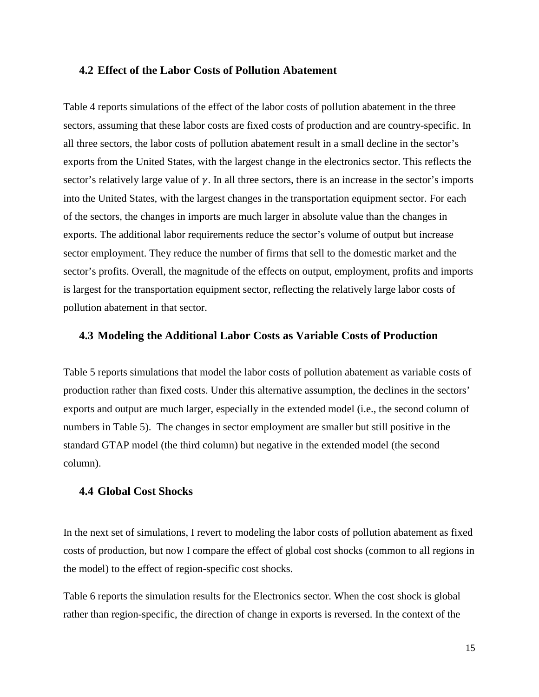#### **4.2 Effect of the Labor Costs of Pollution Abatement**

Table 4 reports simulations of the effect of the labor costs of pollution abatement in the three sectors, assuming that these labor costs are fixed costs of production and are country-specific. In all three sectors, the labor costs of pollution abatement result in a small decline in the sector's exports from the United States, with the largest change in the electronics sector. This reflects the sector's relatively large value of  $\gamma$ . In all three sectors, there is an increase in the sector's imports into the United States, with the largest changes in the transportation equipment sector. For each of the sectors, the changes in imports are much larger in absolute value than the changes in exports. The additional labor requirements reduce the sector's volume of output but increase sector employment. They reduce the number of firms that sell to the domestic market and the sector's profits. Overall, the magnitude of the effects on output, employment, profits and imports is largest for the transportation equipment sector, reflecting the relatively large labor costs of pollution abatement in that sector.

#### **4.3 Modeling the Additional Labor Costs as Variable Costs of Production**

Table 5 reports simulations that model the labor costs of pollution abatement as variable costs of production rather than fixed costs. Under this alternative assumption, the declines in the sectors' exports and output are much larger, especially in the extended model (i.e., the second column of numbers in Table 5). The changes in sector employment are smaller but still positive in the standard GTAP model (the third column) but negative in the extended model (the second column).

#### **4.4 Global Cost Shocks**

In the next set of simulations, I revert to modeling the labor costs of pollution abatement as fixed costs of production, but now I compare the effect of global cost shocks (common to all regions in the model) to the effect of region-specific cost shocks.

Table 6 reports the simulation results for the Electronics sector. When the cost shock is global rather than region-specific, the direction of change in exports is reversed. In the context of the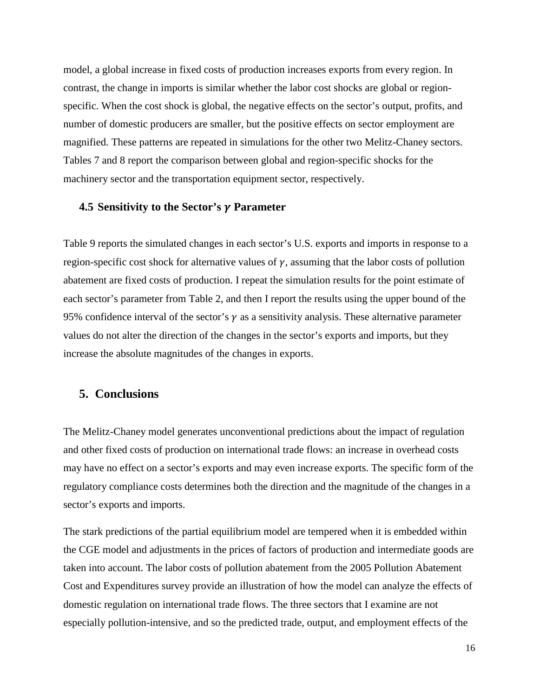model, a global increase in fixed costs of production increases exports from every region. In contrast, the change in imports is similar whether the labor cost shocks are global or regionspecific. When the cost shock is global, the negative effects on the sector's output, profits, and number of domestic producers are smaller, but the positive effects on sector employment are magnified. These patterns are repeated in simulations for the other two Melitz-Chaney sectors. Tables 7 and 8 report the comparison between global and region-specific shocks for the machinery sector and the transportation equipment sector, respectively.

#### **4.5 Sensitivity to the Sector's Parameter**

Table 9 reports the simulated changes in each sector's U.S. exports and imports in response to a region-specific cost shock for alternative values of  $\gamma$ , assuming that the labor costs of pollution abatement are fixed costs of production. I repeat the simulation results for the point estimate of each sector's parameter from Table 2, and then I report the results using the upper bound of the 95% confidence interval of the sector's  $\gamma$  as a sensitivity analysis. These alternative parameter values do not alter the direction of the changes in the sector's exports and imports, but they increase the absolute magnitudes of the changes in exports.

#### **5. Conclusions**

The Melitz-Chaney model generates unconventional predictions about the impact of regulation and other fixed costs of production on international trade flows: an increase in overhead costs may have no effect on a sector's exports and may even increase exports. The specific form of the regulatory compliance costs determines both the direction and the magnitude of the changes in a sector's exports and imports.

The stark predictions of the partial equilibrium model are tempered when it is embedded within the CGE model and adjustments in the prices of factors of production and intermediate goods are taken into account. The labor costs of pollution abatement from the 2005 Pollution Abatement Cost and Expenditures survey provide an illustration of how the model can analyze the effects of domestic regulation on international trade flows. The three sectors that I examine are not especially pollution-intensive, and so the predicted trade, output, and employment effects of the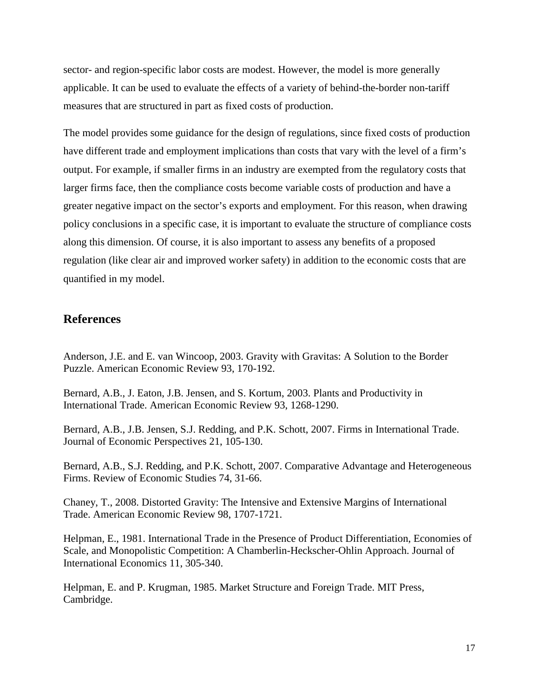sector- and region-specific labor costs are modest. However, the model is more generally applicable. It can be used to evaluate the effects of a variety of behind-the-border non-tariff measures that are structured in part as fixed costs of production.

The model provides some guidance for the design of regulations, since fixed costs of production have different trade and employment implications than costs that vary with the level of a firm's output. For example, if smaller firms in an industry are exempted from the regulatory costs that larger firms face, then the compliance costs become variable costs of production and have a greater negative impact on the sector's exports and employment. For this reason, when drawing policy conclusions in a specific case, it is important to evaluate the structure of compliance costs along this dimension. Of course, it is also important to assess any benefits of a proposed regulation (like clear air and improved worker safety) in addition to the economic costs that are quantified in my model.

#### **References**

Anderson, J.E. and E. van Wincoop, 2003. Gravity with Gravitas: A Solution to the Border Puzzle. American Economic Review 93, 170-192.

Bernard, A.B., J. Eaton, J.B. Jensen, and S. Kortum, 2003. Plants and Productivity in International Trade. American Economic Review 93, 1268-1290.

Bernard, A.B., J.B. Jensen, S.J. Redding, and P.K. Schott, 2007. Firms in International Trade. Journal of Economic Perspectives 21, 105-130.

Bernard, A.B., S.J. Redding, and P.K. Schott, 2007. Comparative Advantage and Heterogeneous Firms. Review of Economic Studies 74, 31-66.

Chaney, T., 2008. Distorted Gravity: The Intensive and Extensive Margins of International Trade. American Economic Review 98, 1707-1721.

Helpman, E., 1981. International Trade in the Presence of Product Differentiation, Economies of Scale, and Monopolistic Competition: A Chamberlin-Heckscher-Ohlin Approach. Journal of International Economics 11, 305-340.

Helpman, E. and P. Krugman, 1985. Market Structure and Foreign Trade. MIT Press, Cambridge.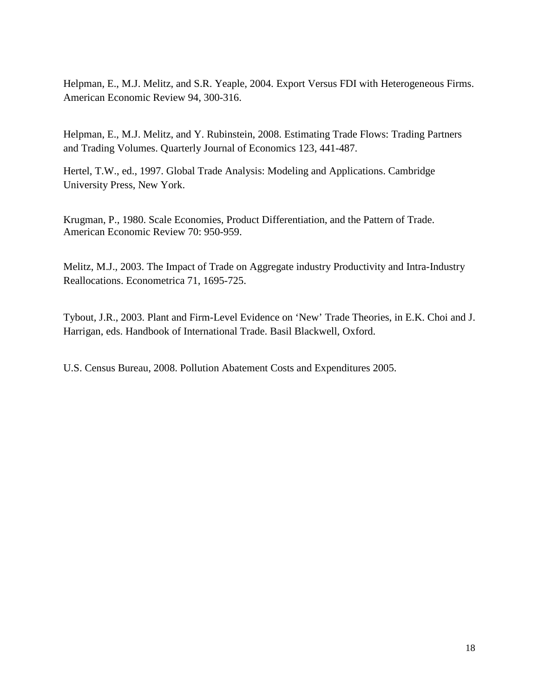Helpman, E., M.J. Melitz, and S.R. Yeaple, 2004. Export Versus FDI with Heterogeneous Firms. American Economic Review 94, 300-316.

Helpman, E., M.J. Melitz, and Y. Rubinstein, 2008. Estimating Trade Flows: Trading Partners and Trading Volumes. Quarterly Journal of Economics 123, 441-487.

Hertel, T.W., ed., 1997. Global Trade Analysis: Modeling and Applications. Cambridge University Press, New York.

Krugman, P., 1980. Scale Economies, Product Differentiation, and the Pattern of Trade. American Economic Review 70: 950-959.

Melitz, M.J., 2003. The Impact of Trade on Aggregate industry Productivity and Intra-Industry Reallocations. Econometrica 71, 1695-725.

Tybout, J.R., 2003. Plant and Firm-Level Evidence on 'New' Trade Theories, in E.K. Choi and J. Harrigan, eds. Handbook of International Trade. Basil Blackwell, Oxford.

U.S. Census Bureau, 2008. Pollution Abatement Costs and Expenditures 2005.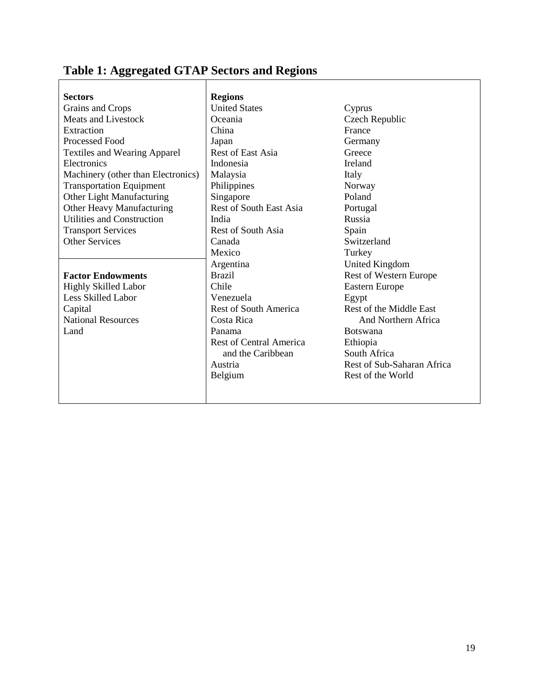# **Table 1: Aggregated GTAP Sectors and Regions**

| <b>Sectors</b>                      | <b>Regions</b>                 |                               |
|-------------------------------------|--------------------------------|-------------------------------|
| Grains and Crops                    | <b>United States</b>           | Cyprus                        |
| <b>Meats and Livestock</b>          | Oceania                        | Czech Republic                |
| Extraction                          | China                          | France                        |
| Processed Food                      | Japan                          | Germany                       |
| <b>Textiles and Wearing Apparel</b> | <b>Rest of East Asia</b>       | Greece                        |
| Electronics                         | Indonesia                      | Ireland                       |
| Machinery (other than Electronics)  | Malaysia                       | Italy                         |
| <b>Transportation Equipment</b>     | Philippines                    | Norway                        |
| Other Light Manufacturing           | Singapore                      | Poland                        |
| Other Heavy Manufacturing           | Rest of South East Asia        | Portugal                      |
| Utilities and Construction          | India                          | Russia                        |
| <b>Transport Services</b>           | <b>Rest of South Asia</b>      | Spain                         |
| <b>Other Services</b>               | Canada                         | Switzerland                   |
|                                     | Mexico                         | Turkey                        |
|                                     | Argentina                      | <b>United Kingdom</b>         |
| <b>Factor Endowments</b>            | <b>Brazil</b>                  | <b>Rest of Western Europe</b> |
| <b>Highly Skilled Labor</b>         | Chile                          | Eastern Europe                |
| Less Skilled Labor                  | Venezuela                      | Egypt                         |
| Capital                             | <b>Rest of South America</b>   | Rest of the Middle East       |
| <b>National Resources</b>           | Costa Rica                     | And Northern Africa           |
| Land                                | Panama                         | <b>Botswana</b>               |
|                                     | <b>Rest of Central America</b> | Ethiopia                      |
|                                     | and the Caribbean              | South Africa                  |
|                                     | Austria                        | Rest of Sub-Saharan Africa    |
|                                     | Belgium                        | Rest of the World             |
|                                     |                                |                               |
|                                     |                                |                               |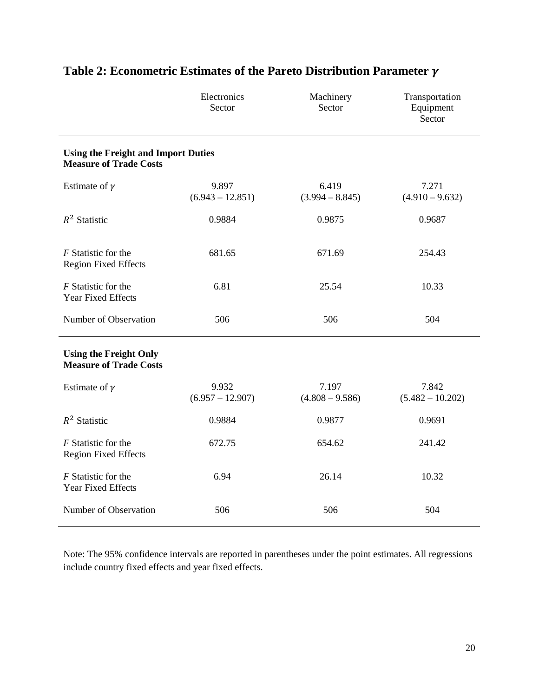|                                                                             | Electronics<br>Sector       | Machinery<br>Sector        | Transportation<br>Equipment<br>Sector |
|-----------------------------------------------------------------------------|-----------------------------|----------------------------|---------------------------------------|
| <b>Using the Freight and Import Duties</b><br><b>Measure of Trade Costs</b> |                             |                            |                                       |
| Estimate of $\gamma$                                                        | 9.897<br>$(6.943 - 12.851)$ | 6.419<br>$(3.994 - 8.845)$ | 7.271<br>$(4.910 - 9.632)$            |
| $R^2$ Statistic                                                             | 0.9884                      | 0.9875                     | 0.9687                                |
| F Statistic for the<br><b>Region Fixed Effects</b>                          | 681.65                      | 671.69                     | 254.43                                |
| F Statistic for the<br><b>Year Fixed Effects</b>                            | 6.81                        | 25.54                      | 10.33                                 |
| Number of Observation                                                       | 506                         | 506                        | 504                                   |
| <b>Using the Freight Only</b><br><b>Measure of Trade Costs</b>              |                             |                            |                                       |
| Estimate of $\gamma$                                                        | 9.932<br>$(6.957 - 12.907)$ | 7.197<br>$(4.808 - 9.586)$ | 7.842<br>$(5.482 - 10.202)$           |
| $R^2$ Statistic                                                             | 0.9884                      | 0.9877                     | 0.9691                                |
| F Statistic for the<br><b>Region Fixed Effects</b>                          | 672.75                      | 654.62                     | 241.42                                |
| F Statistic for the<br><b>Year Fixed Effects</b>                            | 6.94                        | 26.14                      | 10.32                                 |
| Number of Observation                                                       | 506                         | 506                        | 504                                   |

## **Table 2: Econometric Estimates of the Pareto Distribution Parameter**

Note: The 95% confidence intervals are reported in parentheses under the point estimates. All regressions include country fixed effects and year fixed effects.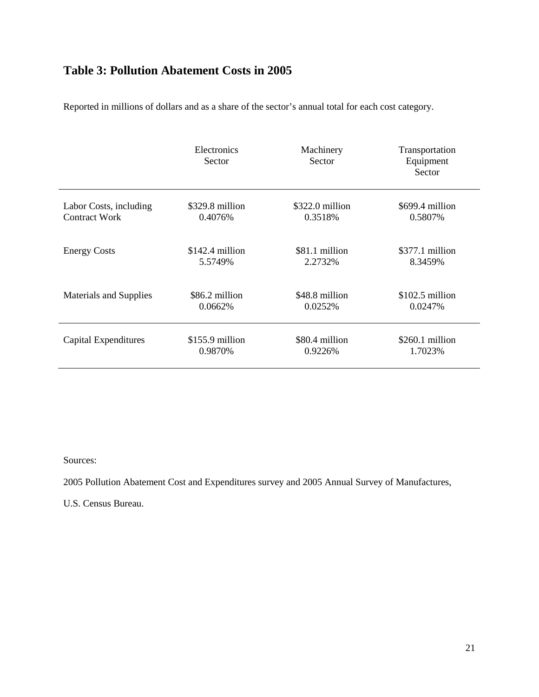### **Table 3: Pollution Abatement Costs in 2005**

Reported in millions of dollars and as a share of the sector's annual total for each cost category.

|                               | Electronics<br>Sector | Machinery<br>Sector | Transportation<br>Equipment<br>Sector |
|-------------------------------|-----------------------|---------------------|---------------------------------------|
| Labor Costs, including        | \$329.8 million       | $$322.0$ million    | \$699.4 million                       |
| Contract Work                 | 0.4076%               | 0.3518%             | 0.5807%                               |
| <b>Energy Costs</b>           | $$142.4$ million      | \$81.1 million      | \$377.1 million                       |
|                               | 5.5749%               | 2.2732%             | 8.3459%                               |
| <b>Materials and Supplies</b> | \$86.2 million        | \$48.8 million      | $$102.5$ million                      |
|                               | 0.0662%               | 0.0252%             | 0.0247%                               |
| Capital Expenditures          | $$155.9$ million      | \$80.4 million      | $$260.1$ million                      |
|                               | 0.9870%               | 0.9226%             | 1.7023%                               |

Sources:

2005 Pollution Abatement Cost and Expenditures survey and 2005 Annual Survey of Manufactures,

U.S. Census Bureau.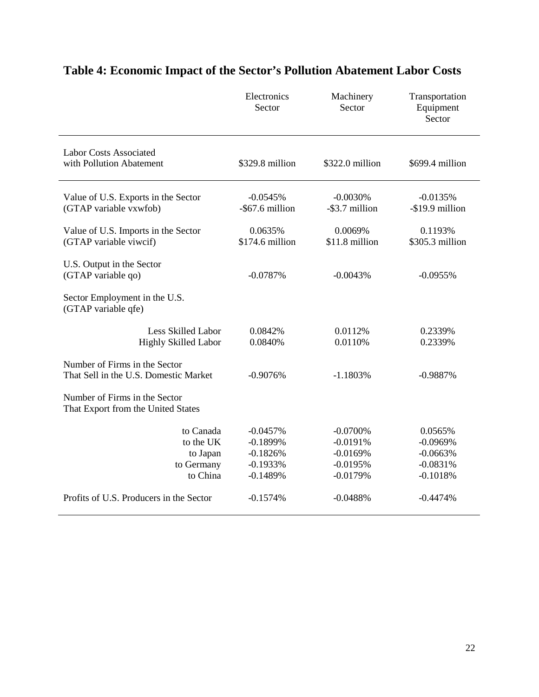|                                                                        | Electronics<br>Sector                                | Machinery<br>Sector                                  | Transportation<br>Equipment<br>Sector             |
|------------------------------------------------------------------------|------------------------------------------------------|------------------------------------------------------|---------------------------------------------------|
| <b>Labor Costs Associated</b><br>with Pollution Abatement              | \$329.8 million                                      | \$322.0 million                                      | \$699.4 million                                   |
| Value of U.S. Exports in the Sector<br>(GTAP variable vxwfob)          | $-0.0545%$<br>-\$67.6 million                        | $-0.0030%$<br>-\$3.7 million                         | $-0.0135%$<br>-\$19.9 million                     |
| Value of U.S. Imports in the Sector<br>(GTAP variable viwcif)          | 0.0635%<br>\$174.6 million                           | 0.0069%<br>\$11.8 million                            | 0.1193%<br>\$305.3 million                        |
| U.S. Output in the Sector<br>(GTAP variable qo)                        | $-0.0787%$                                           | $-0.0043%$                                           | $-0.0955%$                                        |
| Sector Employment in the U.S.<br>(GTAP variable qfe)                   |                                                      |                                                      |                                                   |
| Less Skilled Labor<br>Highly Skilled Labor                             | 0.0842%<br>0.0840%                                   | 0.0112%<br>0.0110%                                   | 0.2339%<br>0.2339%                                |
| Number of Firms in the Sector<br>That Sell in the U.S. Domestic Market | $-0.9076%$                                           | $-1.1803%$                                           | $-0.9887%$                                        |
| Number of Firms in the Sector<br>That Export from the United States    |                                                      |                                                      |                                                   |
| to Canada<br>to the UK<br>to Japan<br>to Germany                       | $-0.0457%$<br>$-0.1899%$<br>$-0.1826%$<br>$-0.1933%$ | $-0.0700%$<br>$-0.0191%$<br>$-0.0169%$<br>$-0.0195%$ | 0.0565%<br>$-0.0969%$<br>$-0.0663%$<br>$-0.0831%$ |
| to China                                                               | $-0.1489%$                                           | $-0.0179%$                                           | $-0.1018%$                                        |
| Profits of U.S. Producers in the Sector                                | $-0.1574%$                                           | $-0.0488%$                                           | $-0.4474%$                                        |

# **Table 4: Economic Impact of the Sector's Pollution Abatement Labor Costs**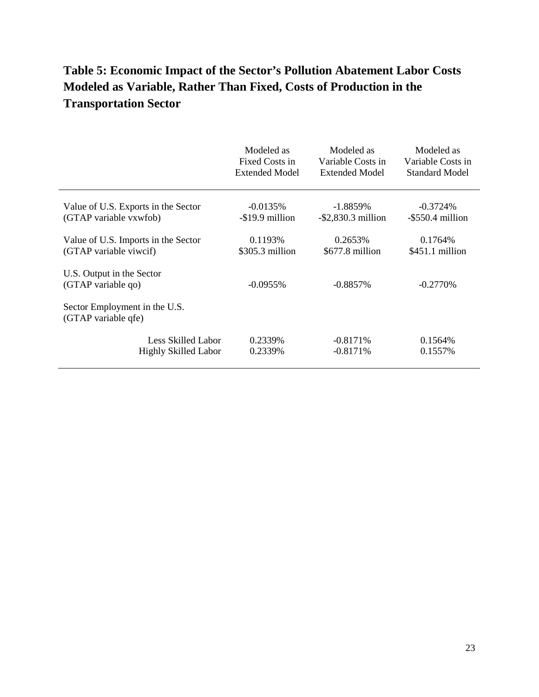## **Table 5: Economic Impact of the Sector's Pollution Abatement Labor Costs Modeled as Variable, Rather Than Fixed, Costs of Production in the Transportation Sector**

|                                                      | Modeled as            | Modeled as            | Modeled as            |
|------------------------------------------------------|-----------------------|-----------------------|-----------------------|
|                                                      | Fixed Costs in        | Variable Costs in     | Variable Costs in     |
|                                                      | <b>Extended Model</b> | Extended Model        | <b>Standard Model</b> |
| Value of U.S. Exports in the Sector                  | $-0.0135%$            | $-1.8859\%$           | $-0.3724%$            |
| (GTAP variable vxwfob)                               | -\$19.9 million       | $-$ \$2,830.3 million | $-$ \$550.4 million   |
| Value of U.S. Imports in the Sector                  | 0.1193%               | 0.2653%               | 0.1764\%              |
| (GTAP variable viwcif)                               | \$305.3 million       | \$677.8 million       | \$451.1 million       |
| U.S. Output in the Sector<br>(GTAP variable qo)      | $-0.0955\%$           | $-0.8857\%$           | $-0.2770%$            |
| Sector Employment in the U.S.<br>(GTAP variable qfe) |                       |                       |                       |
| Less Skilled Labor                                   | 0.2339%               | $-0.8171%$            | $0.1564\%$            |
| <b>Highly Skilled Labor</b>                          | 0.2339%               | $-0.8171%$            | 0.1557\%              |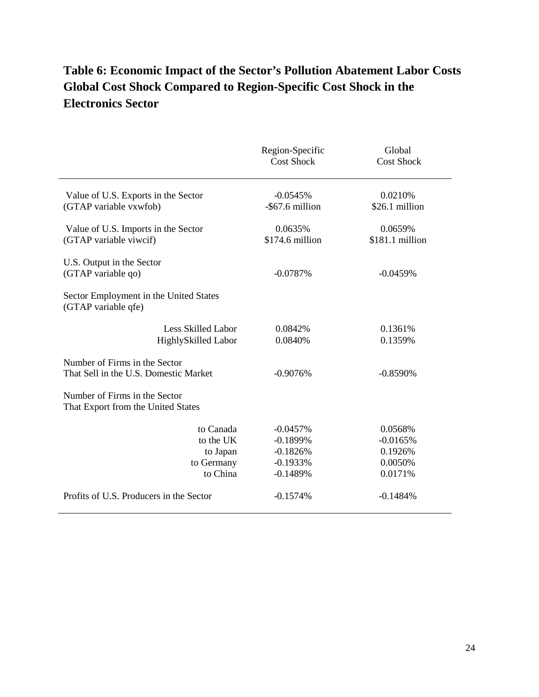## **Table 6: Economic Impact of the Sector's Pollution Abatement Labor Costs Global Cost Shock Compared to Region-Specific Cost Shock in the Electronics Sector**

|                                                                        | Region-Specific<br><b>Cost Shock</b>                               | Global<br><b>Cost Shock</b>                            |
|------------------------------------------------------------------------|--------------------------------------------------------------------|--------------------------------------------------------|
| Value of U.S. Exports in the Sector<br>(GTAP variable vxwfob)          | $-0.0545%$<br>-\$67.6 million                                      | 0.0210%<br>\$26.1 million                              |
| Value of U.S. Imports in the Sector<br>(GTAP variable viwcif)          | 0.0635%<br>\$174.6 million                                         | 0.0659%<br>\$181.1 million                             |
| U.S. Output in the Sector<br>(GTAP variable qo)                        | $-0.0787%$                                                         | $-0.0459%$                                             |
| Sector Employment in the United States<br>(GTAP variable qfe)          |                                                                    |                                                        |
| <b>Less Skilled Labor</b><br>HighlySkilled Labor                       | 0.0842%<br>0.0840%                                                 | 0.1361%<br>0.1359%                                     |
| Number of Firms in the Sector<br>That Sell in the U.S. Domestic Market | $-0.9076%$                                                         | $-0.8590%$                                             |
| Number of Firms in the Sector<br>That Export from the United States    |                                                                    |                                                        |
| to Canada<br>to the UK<br>to Japan<br>to Germany<br>to China           | $-0.0457%$<br>$-0.1899%$<br>$-0.1826%$<br>$-0.1933%$<br>$-0.1489%$ | 0.0568%<br>$-0.0165%$<br>0.1926%<br>0.0050%<br>0.0171% |
| Profits of U.S. Producers in the Sector                                | $-0.1574%$                                                         | $-0.1484%$                                             |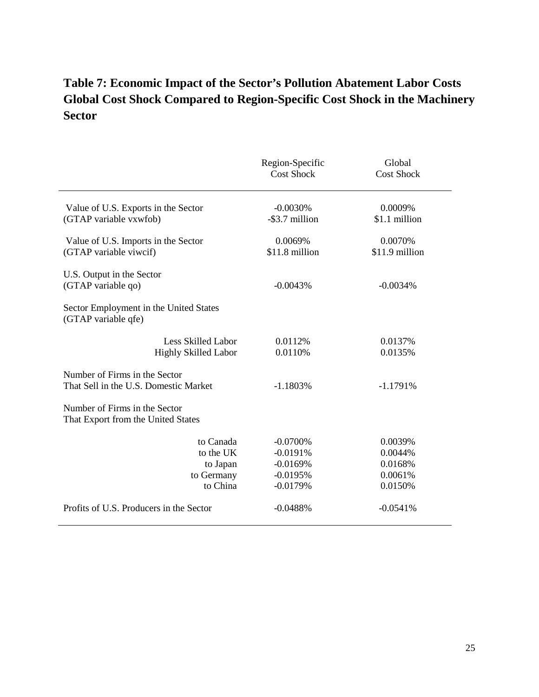### **Table 7: Economic Impact of the Sector's Pollution Abatement Labor Costs Global Cost Shock Compared to Region-Specific Cost Shock in the Machinery Sector**

|                                                                        | Region-Specific<br><b>Cost Shock</b>                               | Global<br><b>Cost Shock</b>                         |
|------------------------------------------------------------------------|--------------------------------------------------------------------|-----------------------------------------------------|
| Value of U.S. Exports in the Sector<br>(GTAP variable vxwfob)          | $-0.0030%$<br>-\$3.7 million                                       | 0.0009%<br>\$1.1 million                            |
| Value of U.S. Imports in the Sector<br>(GTAP variable viwcif)          | 0.0069%<br>\$11.8 million                                          | 0.0070%<br>\$11.9 million                           |
| U.S. Output in the Sector<br>(GTAP variable qo)                        | $-0.0043%$                                                         | $-0.0034%$                                          |
| Sector Employment in the United States<br>(GTAP variable qfe)          |                                                                    |                                                     |
| <b>Less Skilled Labor</b><br><b>Highly Skilled Labor</b>               | 0.0112%<br>0.0110%                                                 | 0.0137%<br>0.0135%                                  |
| Number of Firms in the Sector<br>That Sell in the U.S. Domestic Market | $-1.1803%$                                                         | $-1.1791%$                                          |
| Number of Firms in the Sector<br>That Export from the United States    |                                                                    |                                                     |
| to Canada<br>to the UK<br>to Japan<br>to Germany<br>to China           | $-0.0700%$<br>$-0.0191%$<br>$-0.0169%$<br>$-0.0195%$<br>$-0.0179%$ | 0.0039%<br>0.0044%<br>0.0168%<br>0.0061%<br>0.0150% |
| Profits of U.S. Producers in the Sector                                | $-0.0488%$                                                         | $-0.0541%$                                          |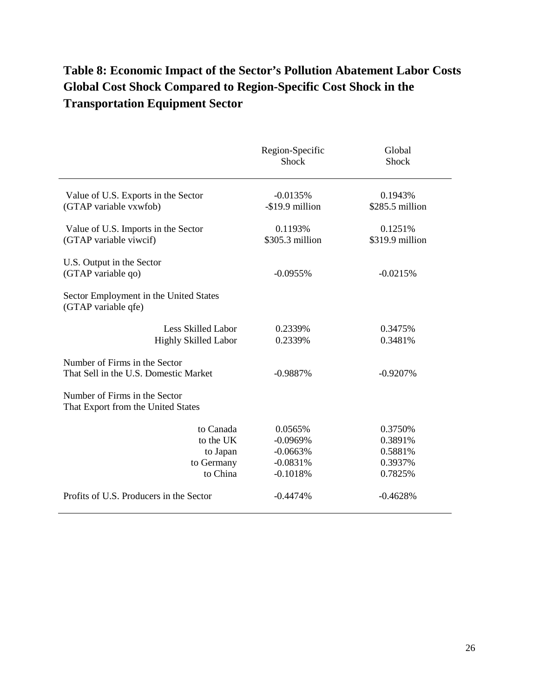## **Table 8: Economic Impact of the Sector's Pollution Abatement Labor Costs Global Cost Shock Compared to Region-Specific Cost Shock in the Transportation Equipment Sector**

|                                                                        | Region-Specific<br><b>Shock</b>                                 | Global<br>Shock                                     |
|------------------------------------------------------------------------|-----------------------------------------------------------------|-----------------------------------------------------|
| Value of U.S. Exports in the Sector<br>(GTAP variable vxwfob)          | $-0.0135%$<br>-\$19.9 million                                   | 0.1943%<br>\$285.5 million                          |
| Value of U.S. Imports in the Sector<br>(GTAP variable viwcif)          | 0.1193%<br>\$305.3 million                                      | 0.1251%<br>\$319.9 million                          |
| U.S. Output in the Sector<br>(GTAP variable qo)                        | $-0.0955%$                                                      | $-0.0215%$                                          |
| Sector Employment in the United States<br>(GTAP variable qfe)          |                                                                 |                                                     |
| <b>Less Skilled Labor</b><br><b>Highly Skilled Labor</b>               | 0.2339%<br>0.2339%                                              | 0.3475%<br>0.3481%                                  |
| Number of Firms in the Sector<br>That Sell in the U.S. Domestic Market | $-0.9887%$                                                      | $-0.9207%$                                          |
| Number of Firms in the Sector<br>That Export from the United States    |                                                                 |                                                     |
| to Canada<br>to the UK<br>to Japan<br>to Germany<br>to China           | 0.0565%<br>$-0.0969%$<br>$-0.0663%$<br>$-0.0831%$<br>$-0.1018%$ | 0.3750%<br>0.3891%<br>0.5881%<br>0.3937%<br>0.7825% |
| Profits of U.S. Producers in the Sector                                | $-0.4474%$                                                      | $-0.4628%$                                          |